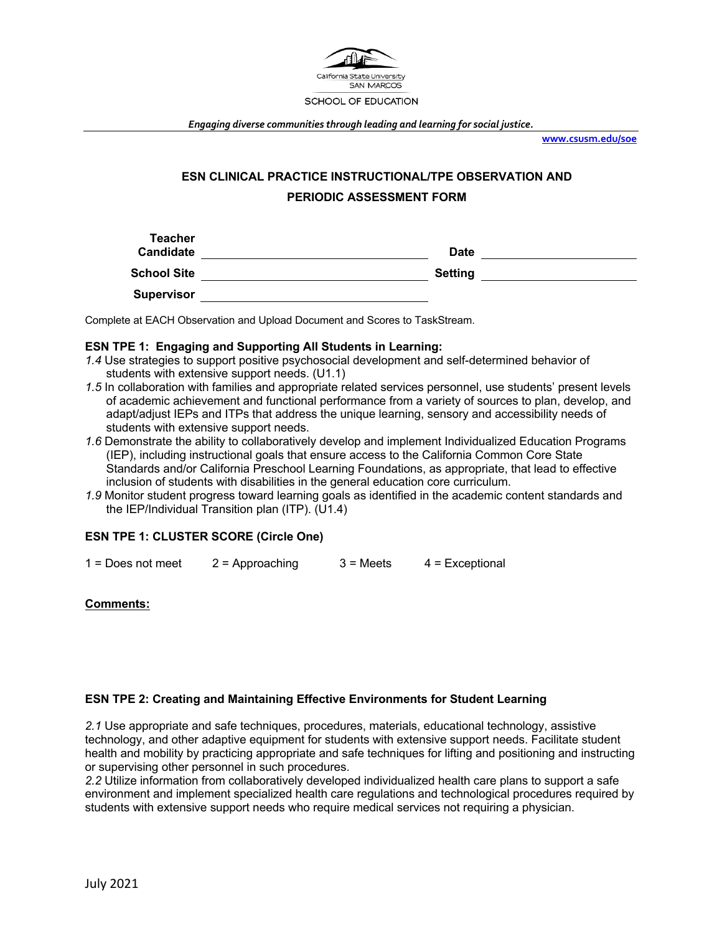

*Engaging diverse communities through leading and learning for social justice.*

**www.csusm.edu/soe**

# **ESN CLINICAL PRACTICE INSTRUCTIONAL/TPE OBSERVATION AND PERIODIC ASSESSMENT FORM**

| <b>Teacher</b><br><b>Candidate</b> | Date           |  |
|------------------------------------|----------------|--|
| <b>School Site</b>                 | <b>Setting</b> |  |
| <b>Supervisor</b>                  |                |  |

Complete at EACH Observation and Upload Document and Scores to TaskStream.

## **ESN TPE 1: Engaging and Supporting All Students in Learning:**

- *1.4* Use strategies to support positive psychosocial development and self-determined behavior of students with extensive support needs. (U1.1)
- *1.5* In collaboration with families and appropriate related services personnel, use students' present levels of academic achievement and functional performance from a variety of sources to plan, develop, and adapt/adjust IEPs and ITPs that address the unique learning, sensory and accessibility needs of students with extensive support needs.
- *1.6* Demonstrate the ability to collaboratively develop and implement Individualized Education Programs (IEP), including instructional goals that ensure access to the California Common Core State Standards and/or California Preschool Learning Foundations, as appropriate, that lead to effective inclusion of students with disabilities in the general education core curriculum.
- *1.9* Monitor student progress toward learning goals as identified in the academic content standards and the IEP/Individual Transition plan (ITP). (U1.4)

# **ESN TPE 1: CLUSTER SCORE (Circle One)**

 $1 =$  Does not meet  $2 =$  Approaching  $3 =$  Meets  $4 =$  Exceptional

### **Comments:**

### **ESN TPE 2: Creating and Maintaining Effective Environments for Student Learning**

*2.1* Use appropriate and safe techniques, procedures, materials, educational technology, assistive technology, and other adaptive equipment for students with extensive support needs. Facilitate student health and mobility by practicing appropriate and safe techniques for lifting and positioning and instructing or supervising other personnel in such procedures.

*2.2* Utilize information from collaboratively developed individualized health care plans to support a safe environment and implement specialized health care regulations and technological procedures required by students with extensive support needs who require medical services not requiring a physician.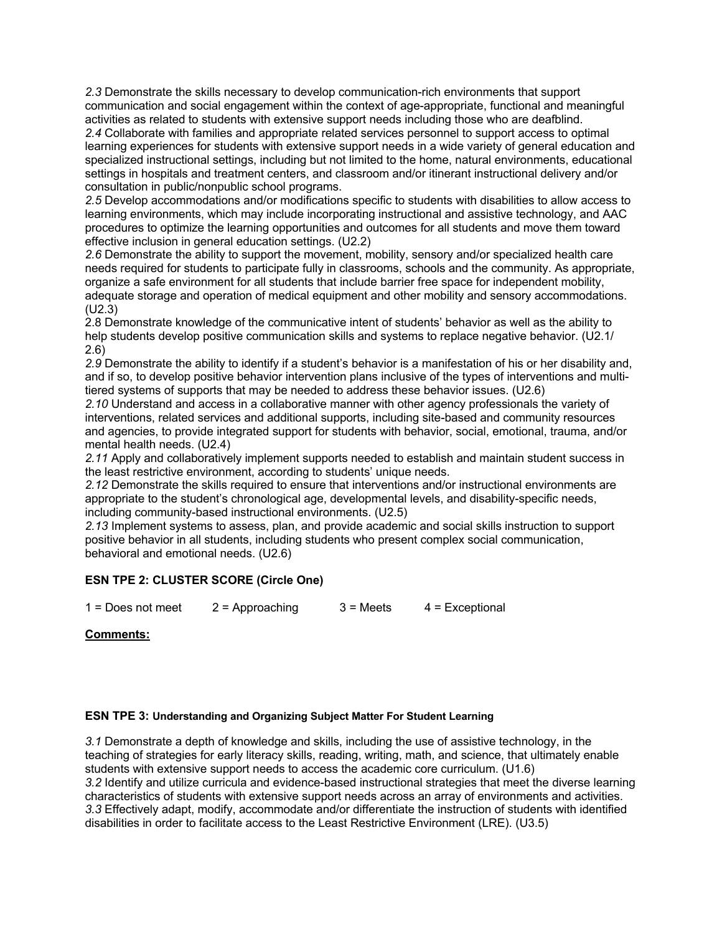*2.3* Demonstrate the skills necessary to develop communication-rich environments that support communication and social engagement within the context of age-appropriate, functional and meaningful activities as related to students with extensive support needs including those who are deafblind.

*2.4* Collaborate with families and appropriate related services personnel to support access to optimal learning experiences for students with extensive support needs in a wide variety of general education and specialized instructional settings, including but not limited to the home, natural environments, educational settings in hospitals and treatment centers, and classroom and/or itinerant instructional delivery and/or consultation in public/nonpublic school programs.

*2.5* Develop accommodations and/or modifications specific to students with disabilities to allow access to learning environments, which may include incorporating instructional and assistive technology, and AAC procedures to optimize the learning opportunities and outcomes for all students and move them toward effective inclusion in general education settings. (U2.2)

*2.6* Demonstrate the ability to support the movement, mobility, sensory and/or specialized health care needs required for students to participate fully in classrooms, schools and the community. As appropriate, organize a safe environment for all students that include barrier free space for independent mobility, adequate storage and operation of medical equipment and other mobility and sensory accommodations. (U2.3)

2.8 Demonstrate knowledge of the communicative intent of students' behavior as well as the ability to help students develop positive communication skills and systems to replace negative behavior. (U2.1/ 2.6)

*2.9* Demonstrate the ability to identify if a student's behavior is a manifestation of his or her disability and, and if so, to develop positive behavior intervention plans inclusive of the types of interventions and multitiered systems of supports that may be needed to address these behavior issues. (U2.6)

*2.10* Understand and access in a collaborative manner with other agency professionals the variety of interventions, related services and additional supports, including site-based and community resources and agencies, to provide integrated support for students with behavior, social, emotional, trauma, and/or mental health needs. (U2.4)

*2.11* Apply and collaboratively implement supports needed to establish and maintain student success in the least restrictive environment, according to students' unique needs.

*2.12* Demonstrate the skills required to ensure that interventions and/or instructional environments are appropriate to the student's chronological age, developmental levels, and disability-specific needs, including community-based instructional environments. (U2.5)

*2.13* Implement systems to assess, plan, and provide academic and social skills instruction to support positive behavior in all students, including students who present complex social communication, behavioral and emotional needs. (U2.6)

# **ESN TPE 2: CLUSTER SCORE (Circle One)**

 $1 =$  Does not meet  $2 =$  Approaching  $3 =$  Meets  $4 =$  Exceptional

# **Comments:**

# **ESN TPE 3: Understanding and Organizing Subject Matter For Student Learning**

*3.1* Demonstrate a depth of knowledge and skills, including the use of assistive technology, in the teaching of strategies for early literacy skills, reading, writing, math, and science, that ultimately enable students with extensive support needs to access the academic core curriculum. (U1.6) *3.2* Identify and utilize curricula and evidence-based instructional strategies that meet the diverse learning characteristics of students with extensive support needs across an array of environments and activities. *3.3* Effectively adapt, modify, accommodate and/or differentiate the instruction of students with identified disabilities in order to facilitate access to the Least Restrictive Environment (LRE). (U3.5)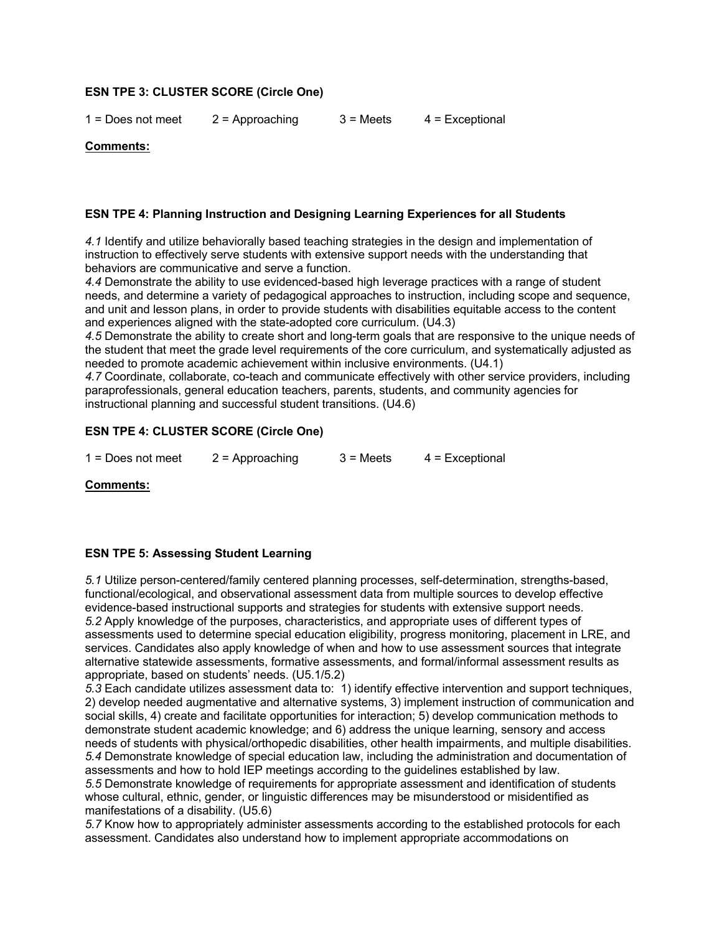## **ESN TPE 3: CLUSTER SCORE (Circle One)**

 $1 =$  Does not meet  $2 =$  Approaching  $3 =$  Meets  $4 =$  Exceptional

#### **Comments:**

### **ESN TPE 4: Planning Instruction and Designing Learning Experiences for all Students**

*4.1* Identify and utilize behaviorally based teaching strategies in the design and implementation of instruction to effectively serve students with extensive support needs with the understanding that behaviors are communicative and serve a function.

*4.4* Demonstrate the ability to use evidenced-based high leverage practices with a range of student needs, and determine a variety of pedagogical approaches to instruction, including scope and sequence, and unit and lesson plans, in order to provide students with disabilities equitable access to the content and experiences aligned with the state-adopted core curriculum. (U4.3)

*4.5* Demonstrate the ability to create short and long-term goals that are responsive to the unique needs of the student that meet the grade level requirements of the core curriculum, and systematically adjusted as needed to promote academic achievement within inclusive environments. (U4.1)

*4.7* Coordinate, collaborate, co-teach and communicate effectively with other service providers, including paraprofessionals, general education teachers, parents, students, and community agencies for instructional planning and successful student transitions. (U4.6)

## **ESN TPE 4: CLUSTER SCORE (Circle One)**

 $1 =$  Does not meet  $2 =$  Approaching  $3 =$  Meets  $4 =$  Exceptional

**Comments:**

### **ESN TPE 5: Assessing Student Learning**

*5.1* Utilize person-centered/family centered planning processes, self-determination, strengths-based, functional/ecological, and observational assessment data from multiple sources to develop effective evidence-based instructional supports and strategies for students with extensive support needs. *5.2* Apply knowledge of the purposes, characteristics, and appropriate uses of different types of assessments used to determine special education eligibility, progress monitoring, placement in LRE, and services. Candidates also apply knowledge of when and how to use assessment sources that integrate alternative statewide assessments, formative assessments, and formal/informal assessment results as appropriate, based on students' needs. (U5.1/5.2)

*5.3* Each candidate utilizes assessment data to: 1) identify effective intervention and support techniques, 2) develop needed augmentative and alternative systems, 3) implement instruction of communication and social skills, 4) create and facilitate opportunities for interaction; 5) develop communication methods to demonstrate student academic knowledge; and 6) address the unique learning, sensory and access needs of students with physical/orthopedic disabilities, other health impairments, and multiple disabilities. *5.4* Demonstrate knowledge of special education law, including the administration and documentation of assessments and how to hold IEP meetings according to the guidelines established by law. *5.5* Demonstrate knowledge of requirements for appropriate assessment and identification of students

whose cultural, ethnic, gender, or linguistic differences may be misunderstood or misidentified as manifestations of a disability. (U5.6)

*5.7* Know how to appropriately administer assessments according to the established protocols for each assessment. Candidates also understand how to implement appropriate accommodations on